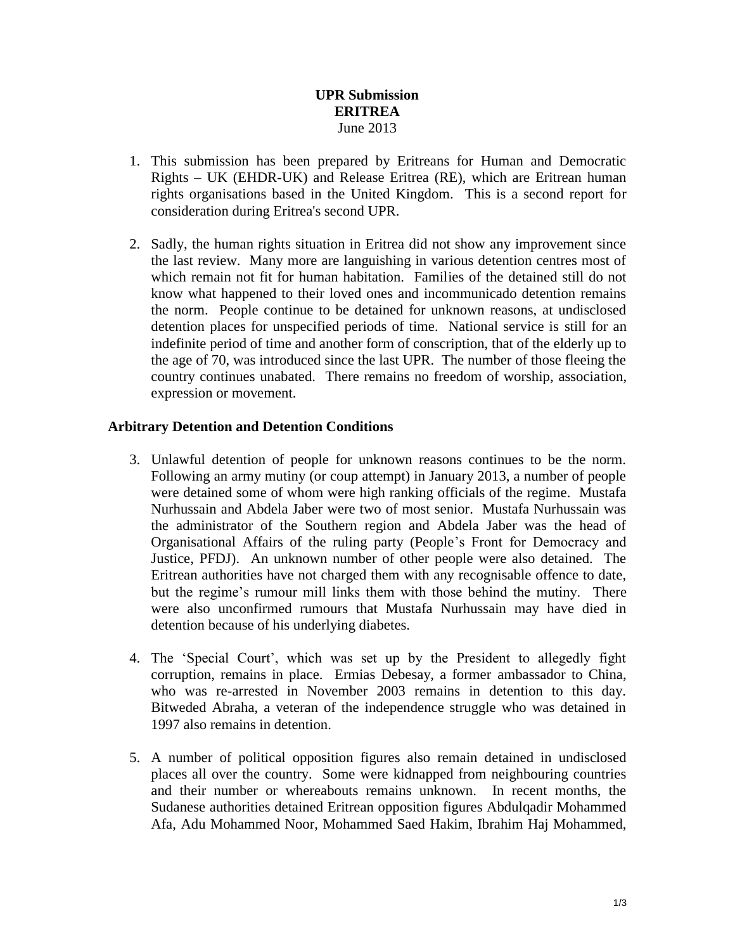## **UPR Submission ERITREA** June 2013

- 1. This submission has been prepared by Eritreans for Human and Democratic Rights – UK (EHDR-UK) and Release Eritrea (RE), which are Eritrean human rights organisations based in the United Kingdom. This is a second report for consideration during Eritrea's second UPR.
- 2. Sadly, the human rights situation in Eritrea did not show any improvement since the last review. Many more are languishing in various detention centres most of which remain not fit for human habitation. Families of the detained still do not know what happened to their loved ones and incommunicado detention remains the norm. People continue to be detained for unknown reasons, at undisclosed detention places for unspecified periods of time. National service is still for an indefinite period of time and another form of conscription, that of the elderly up to the age of 70, was introduced since the last UPR. The number of those fleeing the country continues unabated. There remains no freedom of worship, association, expression or movement.

#### **Arbitrary Detention and Detention Conditions**

- 3. Unlawful detention of people for unknown reasons continues to be the norm. Following an army mutiny (or coup attempt) in January 2013, a number of people were detained some of whom were high ranking officials of the regime. Mustafa Nurhussain and Abdela Jaber were two of most senior. Mustafa Nurhussain was the administrator of the Southern region and Abdela Jaber was the head of Organisational Affairs of the ruling party (People's Front for Democracy and Justice, PFDJ). An unknown number of other people were also detained. The Eritrean authorities have not charged them with any recognisable offence to date, but the regime's rumour mill links them with those behind the mutiny. There were also unconfirmed rumours that Mustafa Nurhussain may have died in detention because of his underlying diabetes.
- 4. The 'Special Court', which was set up by the President to allegedly fight corruption, remains in place. Ermias Debesay, a former ambassador to China, who was re-arrested in November 2003 remains in detention to this day. Bitweded Abraha, a veteran of the independence struggle who was detained in 1997 also remains in detention.
- 5. A number of political opposition figures also remain detained in undisclosed places all over the country. Some were kidnapped from neighbouring countries and their number or whereabouts remains unknown. In recent months, the Sudanese authorities detained Eritrean opposition figures Abdulqadir Mohammed Afa, Adu Mohammed Noor, Mohammed Saed Hakim, Ibrahim Haj Mohammed,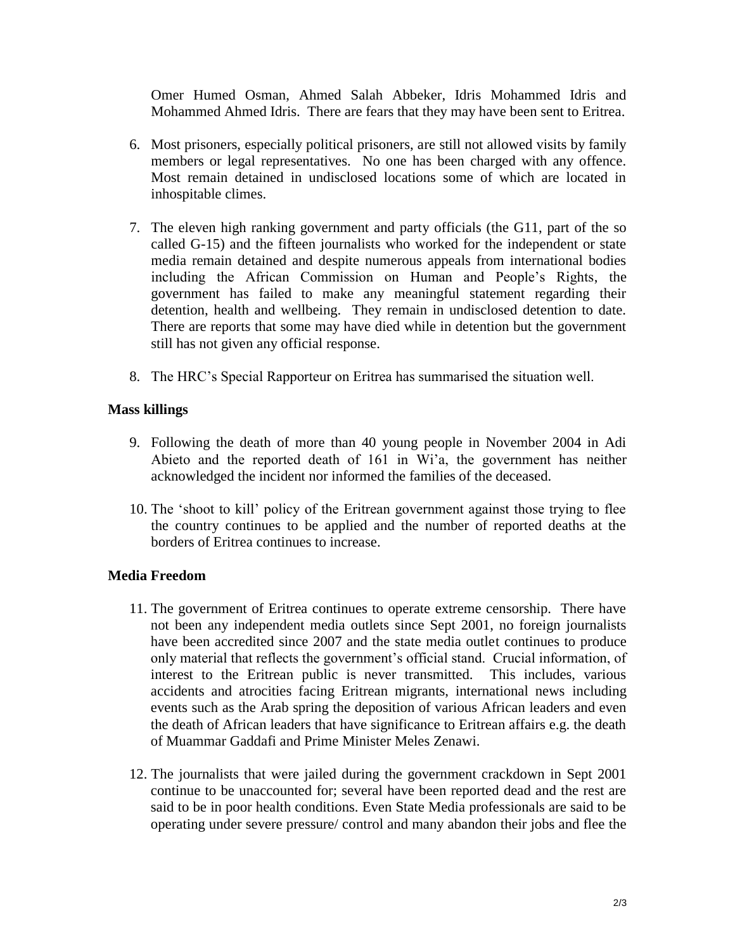Omer Humed Osman, Ahmed Salah Abbeker, Idris Mohammed Idris and Mohammed Ahmed Idris. There are fears that they may have been sent to Eritrea.

- 6. Most prisoners, especially political prisoners, are still not allowed visits by family members or legal representatives. No one has been charged with any offence. Most remain detained in undisclosed locations some of which are located in inhospitable climes.
- 7. The eleven high ranking government and party officials (the G11, part of the so called G-15) and the fifteen journalists who worked for the independent or state media remain detained and despite numerous appeals from international bodies including the African Commission on Human and People's Rights, the government has failed to make any meaningful statement regarding their detention, health and wellbeing. They remain in undisclosed detention to date. There are reports that some may have died while in detention but the government still has not given any official response.
- 8. The HRC's Special Rapporteur on Eritrea has summarised the situation well.

## **Mass killings**

- 9. Following the death of more than 40 young people in November 2004 in Adi Abieto and the reported death of 161 in Wi'a, the government has neither acknowledged the incident nor informed the families of the deceased.
- 10. The 'shoot to kill' policy of the Eritrean government against those trying to flee the country continues to be applied and the number of reported deaths at the borders of Eritrea continues to increase.

# **Media Freedom**

- 11. The government of Eritrea continues to operate extreme censorship. There have not been any independent media outlets since Sept 2001, no foreign journalists have been accredited since 2007 and the state media outlet continues to produce only material that reflects the government's official stand. Crucial information, of interest to the Eritrean public is never transmitted. This includes, various accidents and atrocities facing Eritrean migrants, international news including events such as the Arab spring the deposition of various African leaders and even the death of African leaders that have significance to Eritrean affairs e.g. the death of Muammar Gaddafi and Prime Minister Meles Zenawi.
- 12. The journalists that were jailed during the government crackdown in Sept 2001 continue to be unaccounted for; several have been reported dead and the rest are said to be in poor health conditions. Even State Media professionals are said to be operating under severe pressure/ control and many abandon their jobs and flee the